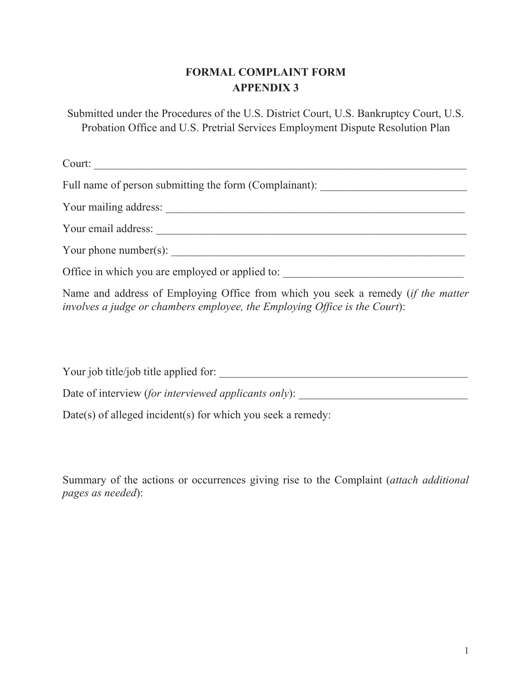## **FORMAL COMPLAINT FORM APPENDIX 3**

Submitted under the Procedures of the U.S. District Court, U.S. Bankruptcy Court, U.S. Probation Office and U.S. Pretrial Services Employment Dispute Resolution Plan

Court: \_\_\_\_\_\_\_\_\_\_\_\_\_\_\_\_\_\_\_\_\_\_\_\_\_\_\_\_\_\_\_\_\_\_\_\_\_\_\_\_\_\_\_\_\_\_\_\_\_\_\_\_\_\_\_\_\_\_\_\_\_\_\_\_\_\_ Full name of person submitting the form (Complainant): \_\_\_\_\_\_\_\_\_\_\_\_\_\_\_\_\_\_\_\_\_\_\_\_\_ Your mailing address: \_\_\_\_\_\_\_\_\_\_\_\_\_\_\_\_\_\_\_\_\_\_\_\_\_\_\_\_\_\_\_\_\_\_\_\_\_\_\_\_\_\_\_\_\_\_\_\_\_\_\_\_\_ Your email address: \_\_\_\_\_\_\_\_\_\_\_\_\_\_\_\_\_\_\_\_\_\_\_\_\_\_\_\_\_\_\_\_\_\_\_\_\_\_\_\_\_\_\_\_\_\_\_\_\_\_\_\_\_\_\_ Your phone number(s):  $\frac{1}{\sqrt{1-\frac{1}{2}}\sqrt{1-\frac{1}{2}}\sqrt{1-\frac{1}{2}}\sqrt{1-\frac{1}{2}}\sqrt{1-\frac{1}{2}}\sqrt{1-\frac{1}{2}}\sqrt{1-\frac{1}{2}}\sqrt{1-\frac{1}{2}}\sqrt{1-\frac{1}{2}}\sqrt{1-\frac{1}{2}}\sqrt{1-\frac{1}{2}}\sqrt{1-\frac{1}{2}}\sqrt{1-\frac{1}{2}}\sqrt{1-\frac{1}{2}}\sqrt{1-\frac{1}{2}}\sqrt{1-\frac{1}{2}}\sqrt{1-\frac{1}{2}}\sqrt{1-\frac$ Office in which you are employed or applied to: Name and address of Employing Office from which you seek a remedy (*if the matter involves a judge or chambers employee, the Employing Office is the Court*):

Your job title/job title applied for: Date of interview (*for interviewed applicants only*): Date(s) of alleged incident(s) for which you seek a remedy:

Summary of the actions or occurrences giving rise to the Complaint (*attach additional pages as needed*):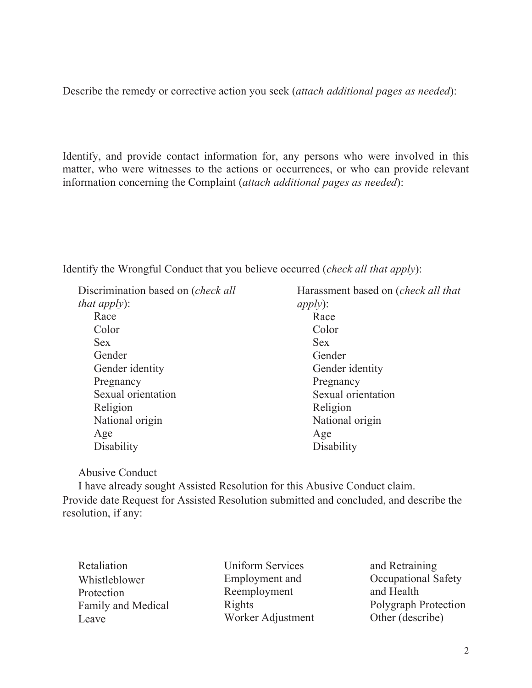Describe the remedy or corrective action you seek (*attach additional pages as needed*):

Identify, and provide contact information for, any persons who were involved in this matter, who were witnesses to the actions or occurrences, or who can provide relevant information concerning the Complaint (*attach additional pages as needed*):

Identify the Wrongful Conduct that you believe occurred (*check all that apply*):

 Discrimination based on (*check all that apply*): Race Color Sex Gender Gender identity Pregnancy Sexual orientation Religion National origin Age **Disability** 

 Harassment based on (*check all that apply*): Race Color Sex Gender Gender identity Pregnancy Sexual orientation Religion National origin Age **Disability** 

## Abusive Conduct

 I have already sought Assisted Resolution for this Abusive Conduct claim. Provide date Request for Assisted Resolution submitted and concluded, and describe the resolution, if any:

 Retaliation Whistleblower Protection Family and Medical Leave

 Uniform Services Employment and Reemployment Rights Worker Adjustment and Retraining Occupational Safety and Health Polygraph Protection Other (describe)